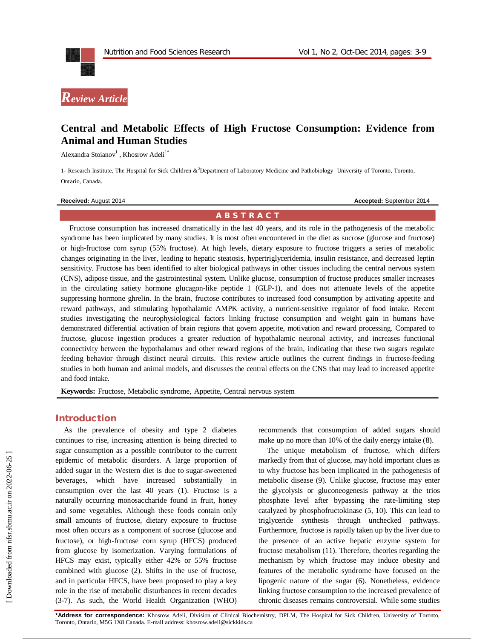

# **Central and Metabolic Effects of High Fructose Consumption: Evidence from Animal and Human Studies**

Alexandra Stoianov<sup>1</sup>, Khosrow Adeli<sup>1\*</sup>

1- Research Institute, The Hospital for Sick Children &<sup>2</sup>Department of Laboratory Medicine and Pathobiology University of Toronto, Toronto, Ontario, Canada.

**Received:** August 2014 **Accepted: September 2014 Accepted: September 2014** 

#### **A B S T R A C T**

Fructose consumption has increased dramatically in the last 40 years, and its role in the pathogenesis of the metabolic syndrome has been implicated by many studies. It is most often encountered in the diet as sucrose (glucose and fructose) or high-fructose corn syrup (55% fructose). At high levels, dietary exposure to fructose triggers a series of metabolic changes originating in the liver, leading to hepatic steatosis, hypertriglyceridemia, insulin resistance, and decreased leptin sensitivity. Fructose has been identified to alter biological pathways in other tissues including the central nervous system (CNS), adipose tissue, and the gastrointestinal system. Unlike glucose, consumption of fructose produces smaller increases in the circulating satiety hormone glucagon-like peptide 1 (GLP-1), and does not attenuate levels of the appetite suppressing hormone ghrelin. In the brain, fructose contributes to increased food consumption by activating appetite and reward pathways, and stimulating hypothalamic AMPK activity, a nutrient-sensitive regulator of food intake. Recent studies investigating the neurophysiological factors linking fructose consumption and weight gain in humans have demonstrated differential activation of brain regions that govern appetite, motivation and reward processing. Compared to fructose, glucose ingestion produces a greater reduction of hypothalamic neuronal activity, and increases functional connectivity between the hypothalamus and other reward regions of the brain, indicating that these two sugars regulate feeding behavior through distinct neural circuits. This review article outlines the current findings in fructose-feeding studies in both human and animal models, and discusses the central effects on the CNS that may lead to increased appetite and food intake.

**Keywords:** Fructose, Metabolic syndrome, Appetite, Central nervous system

### **Introduction**

As the prevalence of obesity and type 2 diabetes continues to rise, increasing attention is being directed to sugar consumption as a possible contributor to the current epidemic of metabolic disorders. A large proportion of added sugar in the Western diet is due to sugar-sweetened beverages, which have increased substantially in consumption over the last 40 years (1). Fructose is a naturally occurring monosaccharide found in fruit, honey and some vegetables. Although these foods contain only small amounts of fructose, dietary exposure to fructose most often occurs as a component of sucrose (glucose and fructose), or high-fructose corn syrup (HFCS) produced from glucose by isomerization. Varying formulations of HFCS may exist, typically either 42% or 55% fructose combined with glucose (2). Shifts in the use of fructose, and in particular HFCS, have been proposed to play a key role in the rise of metabolic disturbances in recent decades (3-7). As such, the World Health Organization (WHO) recommends that consumption of added sugars should make up no more than 10% of the daily energy intake (8).

The unique metabolism of fructose, which differs markedly from that of glucose, may hold important clues as to why fructose has been implicated in the pathogenesis of metabolic disease (9). Unlike glucose, fructose may enter the glycolysis or gluconeogenesis pathway at the trios phosphate level after bypassing the rate-limiting step catalyzed by phosphofructokinase (5, 10). This can lead to triglyceride synthesis through unchecked pathways. Furthermore, fructose is rapidly taken up by the liver due to the presence of an active hepatic enzyme system for fructose metabolism (11). Therefore, theories regarding the mechanism by which fructose may induce obesity and features of the metabolic syndrome have focused on the lipogenic nature of the sugar (6). Nonetheless, evidence linking fructose consumption to the increased prevalence of chronic diseases remains controversial. While some studies

**\*Address for correspondence:** Khosrow Adeli, Division of Clinical Biochemistry, DPLM, The Hospital for Sick Children, University of Toronto, Toronto, Ontario, M5G 1X8 Canada. E-mail address: khosrow.adeli@sickkids.ca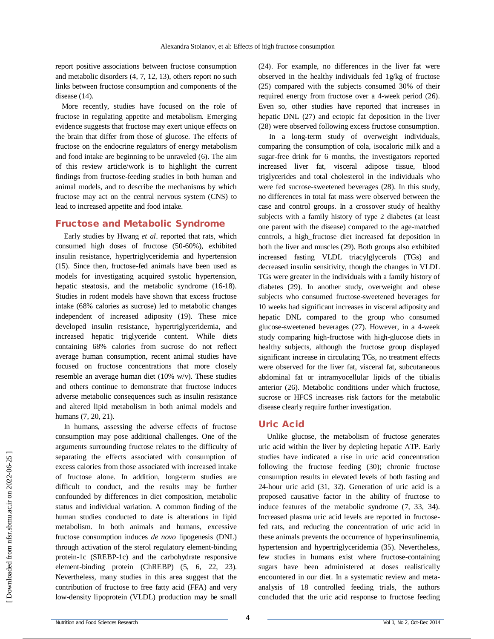report positive associations between fructose consumption and metabolic disorders (4, 7, 12, 13), others report no such links between fructose consumption and components of the disease (14).

More recently, studies have focused on the role of fructose in regulating appetite and metabolism. Emerging evidence suggests that fructose may exert unique effects on the brain that differ from those of glucose. The effects of fructose on the endocrine regulators of energy metabolism and food intake are beginning to be unraveled (6). The aim of this review article/work is to highlight the current findings from fructose-feeding studies in both human and animal models, and to describe the mechanisms by which fructose may act on the central nervous system (CNS) to lead to increased appetite and food intake.

#### **Fructose and Metabolic Syndrome**

Early studies by Hwang *et al*. reported that rats, which consumed high doses of fructose (50-60%), exhibited insulin resistance, hypertriglyceridemia and hypertension (15). Since then, fructose-fed animals have been used as models for investigating acquired systolic hypertension, hepatic steatosis, and the metabolic syndrome (16-18). Studies in rodent models have shown that excess fructose intake (68% calories as sucrose) led to metabolic changes independent of increased adiposity (19). These mice developed insulin resistance, hypertriglyceridemia, and increased hepatic triglyceride content. While diets containing 68% calories from sucrose do not reflect average human consumption, recent animal studies have focused on fructose concentrations that more closely resemble an average human diet (10% w/v). These studies and others continue to demonstrate that fructose induces adverse metabolic consequences such as insulin resistance and altered lipid metabolism in both animal models and humans (7, 20, 21).

In humans, assessing the adverse effects of fructose consumption may pose additional challenges. One of the arguments surrounding fructose relates to the difficulty of separating the effects associated with consumption of excess calories from those associated with increased intake of fructose alone. In addition, long-term studies are difficult to conduct, and the results may be further confounded by differences in diet composition, metabolic status and individual variation. A common finding of the human studies conducted to date is alterations in lipid metabolism. In both animals and humans, excessive fructose consumption induces *de novo* lipogenesis (DNL) through activation of the sterol regulatory element-binding protein-1c (SREBP-1c) and the carbohydrate responsive element-binding protein (ChREBP) (5, 6, 22, 23). Nevertheless, many studies in this area suggest that the contribution of fructose to free fatty acid (FFA) and very low-density lipoprotein (VLDL) production may be small (24). For example, no differences in the liver fat were observed in the healthy individuals fed 1g/kg of fructose (25) compared with the subjects consumed 30% of their required energy from fructose over a 4-week period (26). Even so, other studies have reported that increases in hepatic DNL (27) and ectopic fat deposition in the liver (28) were observed following excess fructose consumption.

In a long-term study of overweight individuals, comparing the consumption of cola, isocaloric milk and a sugar-free drink for 6 months, the investigators reported increased liver fat, visceral adipose tissue, blood triglycerides and total cholesterol in the individuals who were fed sucrose-sweetened beverages (28). In this study, no differences in total fat mass were observed between the case and control groups. In a crossover study of healthy subjects with a family history of type 2 diabetes (at least one parent with the disease) compared to the age-matched controls, a high\_fructose diet increased fat deposition in both the liver and muscles (29). Both groups also exhibited increased fasting VLDL triacylglycerols (TGs) and decreased insulin sensitivity, though the changes in VLDL TGs were greater in the individuals with a family history of diabetes (29). In another study, overweight and obese subjects who consumed fructose-sweetened beverages for 10 weeks had significant increases in visceral adiposity and hepatic DNL compared to the group who consumed glucose-sweetened beverages (27). However, in a 4-week study comparing high-fructose with high-glucose diets in healthy subjects, although the fructose group displayed significant increase in circulating TGs, no treatment effects were observed for the liver fat, visceral fat, subcutaneous abdominal fat or intramyocellular lipids of the tibialis anterior (26). Metabolic conditions under which fructose, sucrose or HFCS increases risk factors for the metabolic disease clearly require further investigation.

## **Uric Acid**

Unlike glucose, the metabolism of fructose generates uric acid within the liver by depleting hepatic ATP. Early studies have indicated a rise in uric acid concentration following the fructose feeding (30); chronic fructose consumption results in elevated levels of both fasting and 24-hour uric acid (31, 32). Generation of uric acid is a proposed causative factor in the ability of fructose to induce features of the metabolic syndrome (7, 33, 34). Increased plasma uric acid levels are reported in fructosefed rats, and reducing the concentration of uric acid in these animals prevents the occurrence of hyperinsulinemia, hypertension and hypertriglyceridemia (35). Nevertheless, few studies in humans exist where fructose-containing sugars have been administered at doses realistically encountered in our diet. In a systematic review and metaanalysis of 18 controlled feeding trials, the authors concluded that the uric acid response to fructose feeding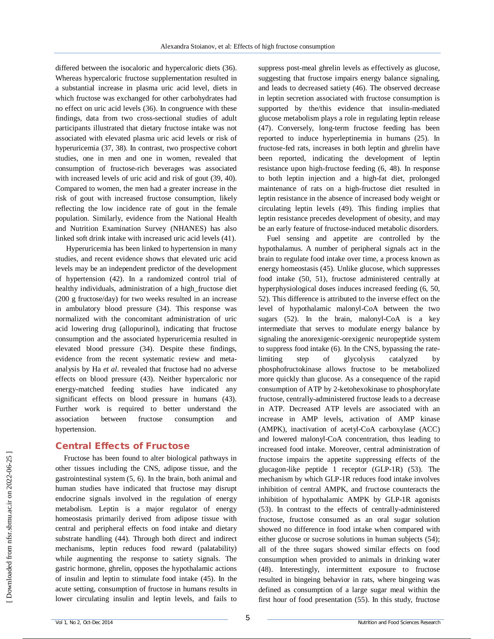differed between the isocaloric and hypercaloric diets (36). Whereas hypercaloric fructose supplementation resulted in a substantial increase in plasma uric acid level, diets in which fructose was exchanged for other carbohydrates had no effect on uric acid levels (36). In congruence with these findings, data from two cross-sectional studies of adult participants illustrated that dietary fructose intake was not associated with elevated plasma uric acid levels or risk of hyperuricemia (37, 38). In contrast, two prospective cohort studies, one in men and one in women, revealed that consumption of fructose-rich beverages was associated with increased levels of uric acid and risk of gout (39, 40). Compared to women, the men had a greater increase in the risk of gout with increased fructose consumption, likely reflecting the low incidence rate of gout in the female population. Similarly, evidence from the National Health and Nutrition Examination Survey (NHANES) has also linked soft drink intake with increased uric acid levels (41).

Hyperuricemia has been linked to hypertension in many studies, and recent evidence shows that elevated uric acid levels may be an independent predictor of the development of hypertension (42). In a randomized control trial of healthy individuals, administration of a high\_fructose diet (200 g fructose/day) for two weeks resulted in an increase in ambulatory blood pressure (34). This response was normalized with the concomitant administration of uric acid lowering drug (allopurinol), indicating that fructose consumption and the associated hyperuricemia resulted in elevated blood pressure (34). Despite these findings, evidence from the recent systematic review and metaanalysis by Ha *et al*. revealed that fructose had no adverse effects on blood pressure (43). Neither hypercaloric nor energy-matched feeding studies have indicated any significant effects on blood pressure in humans (43). Further work is required to better understand the association between fructose consumption and hypertension.

## **Central Effects of Fructose**

Fructose has been found to alter biological pathways in other tissues including the CNS, adipose tissue, and the gastrointestinal system (5, 6). In the brain, both animal and human studies have indicated that fructose may disrupt endocrine signals involved in the regulation of energy metabolism. Leptin is a major regulator of energy homeostasis primarily derived from adipose tissue with central and peripheral effects on food intake and dietary substrate handling (44). Through both direct and indirect mechanisms, leptin reduces food reward (palatability) while augmenting the response to satiety signals. The gastric hormone, ghrelin, opposes the hypothalamic actions of insulin and leptin to stimulate food intake (45). In the acute setting, consumption of fructose in humans results in lower circulating insulin and leptin levels, and fails to suppress post-meal ghrelin levels as effectively as glucose, suggesting that fructose impairs energy balance signaling, and leads to decreased satiety (46). The observed decrease in leptin secretion associated with fructose consumption is supported by the/this evidence that insulin-mediated glucose metabolism plays a role in regulating leptin release (47). Conversely, long-term fructose feeding has been reported to induce hyperleptinemia in humans (25). In fructose-fed rats, increases in both leptin and ghrelin have been reported, indicating the development of leptin resistance upon high-fructose feeding (6, 48). In response to both leptin injection and a high-fat diet, prolonged maintenance of rats on a high-fructose diet resulted in leptin resistance in the absence of increased body weight or circulating leptin levels (49). This finding implies that leptin resistance precedes development of obesity, and may be an early feature of fructose-induced metabolic disorders.

Fuel sensing and appetite are controlled by the hypothalamus. A number of peripheral signals act in the brain to regulate food intake over time, a process known as energy homeostasis (45). Unlike glucose, which suppresses food intake (50, 51), fructose administered centrally at hyperphysiological doses induces increased feeding (6, 50, 52). This difference is attributed to the inverse effect on the level of hypothalamic malonyl-CoA between the two sugars (52). In the brain, malonyl-CoA is a key intermediate that serves to modulate energy balance by signaling the anorexigenic-orexigenic neuropeptide system to suppress food intake (6). In the CNS, bypassing the ratelimiting step of glycolysis catalyzed by phosphofructokinase allows fructose to be metabolized more quickly than glucose. As a consequence of the rapid consumption of ATP by 2-ketohexokinase to phosphorylate fructose, centrally-administered fructose leads to a decrease in ATP. Decreased ATP levels are associated with an increase in AMP levels, activation of AMP kinase (AMPK), inactivation of acetyl-CoA carboxylase (ACC) and lowered malonyl-CoA concentration, thus leading to increased food intake. Moreover, central administration of fructose impairs the appetite suppressing effects of the glucagon-like peptide 1 receptor (GLP-1R) (53). The mechanism by which GLP-1R reduces food intake involves inhibition of central AMPK, and fructose counteracts the inhibition of hypothalamic AMPK by GLP-1R agonists (53). In contrast to the effects of centrally-administered fructose, fructose consumed as an oral sugar solution showed no difference in food intake when compared with either glucose or sucrose solutions in human subjects (54); all of the three sugars showed similar effects on food consumption when provided to animals in drinking water (48). Interestingly, intermittent exposure to fructose resulted in bingeing behavior in rats, where bingeing was defined as consumption of a large sugar meal within the first hour of food presentation (55). In this study, fructose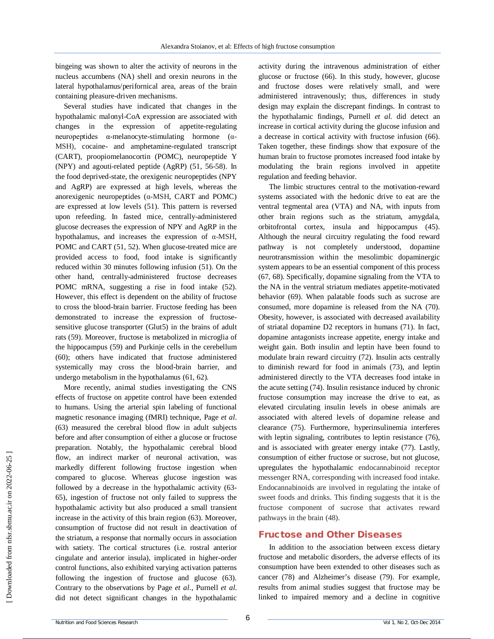bingeing was shown to alter the activity of neurons in the nucleus accumbens (NA) shell and orexin neurons in the lateral hypothalamus/perifornical area, areas of the brain containing pleasure-driven mechanisms.

Several studies have indicated that changes in the hypothalamic malonyl-CoA expression are associated with changes in the expression of appetite-regulating neuropeptides α-melanocyte-stimulating hormone (α-MSH), cocaine- and amphetamine-regulated transcript (CART), proopiomelanocortin (POMC), neuropeptide Y (NPY) and agouti-related peptide (AgRP) (51, 56-58). In the food deprived-state, the orexigenic neuropeptides (NPY and AgRP) are expressed at high levels, whereas the anorexigenic neuropeptides (α-MSH, CART and POMC) are expressed at low levels (51). This pattern is reversed upon refeeding. In fasted mice, centrally-administered glucose decreases the expression of NPY and AgRP in the hypothalamus, and increases the expression of α-MSH, POMC and CART (51, 52). When glucose-treated mice are provided access to food, food intake is significantly reduced within 30 minutes following infusion (51). On the other hand, centrally-administered fructose decreases POMC mRNA, suggesting a rise in food intake (52). However, this effect is dependent on the ability of fructose to cross the blood-brain barrier. Fructose feeding has been demonstrated to increase the expression of fructosesensitive glucose transporter (Glut5) in the brains of adult rats (59). Moreover, fructose is metabolized in microglia of the hippocampus (59) and Purkinje cells in the cerebellum (60); others have indicated that fructose administered systemically may cross the blood-brain barrier, and undergo metabolism in the hypothalamus (61, 62).

More recently, animal studies investigating the CNS effects of fructose on appetite control have been extended to humans. Using the arterial spin labeling of functional magnetic resonance imaging (fMRI) technique, Page *et al*. (63) measured the cerebral blood flow in adult subjects before and after consumption of either a glucose or fructose preparation. Notably, the hypothalamic cerebral blood flow, an indirect marker of neuronal activation, was markedly different following fructose ingestion when compared to glucose. Whereas glucose ingestion was followed by a decrease in the hypothalamic activity (63- 65), ingestion of fructose not only failed to suppress the hypothalamic activity but also produced a small transient increase in the activity of this brain region (63). Moreover, consumption of fructose did not result in deactivation of the striatum, a response that normally occurs in association with satiety. The cortical structures (i.e. rostral anterior cingulate and anterior insula), implicated in higher-order control functions, also exhibited varying activation patterns following the ingestion of fructose and glucose (63). Contrary to the observations by Page *et al*., Purnell *et al*. did not detect significant changes in the hypothalamic activity during the intravenous administration of either glucose or fructose (66). In this study, however, glucose and fructose doses were relatively small, and were administered intravenously; thus, differences in study design may explain the discrepant findings. In contrast to the hypothalamic findings, Purnell *et al*. did detect an increase in cortical activity during the glucose infusion and a decrease in cortical activity with fructose infusion (66). Taken together, these findings show that exposure of the human brain to fructose promotes increased food intake by modulating the brain regions involved in appetite regulation and feeding behavior.

The limbic structures central to the motivation-reward systems associated with the hedonic drive to eat are the ventral tegmental area (VTA) and NA, with inputs from other brain regions such as the striatum, amygdala, orbitofrontal cortex, insula and hippocampus (45). Although the neural circuitry regulating the food reward pathway is not completely understood, dopamine neurotransmission within the mesolimbic dopaminergic system appears to be an essential component of this process (67, 68). Specifically, dopamine signaling from the VTA to the NA in the ventral striatum mediates appetite-motivated behavior (69). When palatable foods such as sucrose are consumed, more dopamine is released from the NA (70). Obesity, however, is associated with decreased availability of striatal dopamine D2 receptors in humans (71). In fact, dopamine antagonists increase appetite, energy intake and weight gain. Both insulin and leptin have been found to modulate brain reward circuitry (72). Insulin acts centrally to diminish reward for food in animals (73), and leptin administered directly to the VTA decreases food intake in the acute setting (74). Insulin resistance induced by chronic fructose consumption may increase the drive to eat, as elevated circulating insulin levels in obese animals are associated with altered levels of dopamine release and clearance (75). Furthermore, hyperinsulinemia interferes with leptin signaling, contributes to leptin resistance (76), and is associated with greater energy intake (77). Lastly, consumption of either fructose or sucrose, but not glucose, upregulates the hypothalamic endocannabinoid receptor messenger RNA, corresponding with increased food intake. Endocannabinoids are involved in regulating the intake of sweet foods and drinks. This finding suggests that it is the fructose component of sucrose that activates reward pathways in the brain (48).

## **Fructose and Other Diseases**

In addition to the association between excess dietary fructose and metabolic disorders, the adverse effects of its consumption have been extended to other diseases such as cancer (78) and Alzheimer's disease (79). For example, results from animal studies suggest that fructose may be linked to impaired memory and a decline in cognitive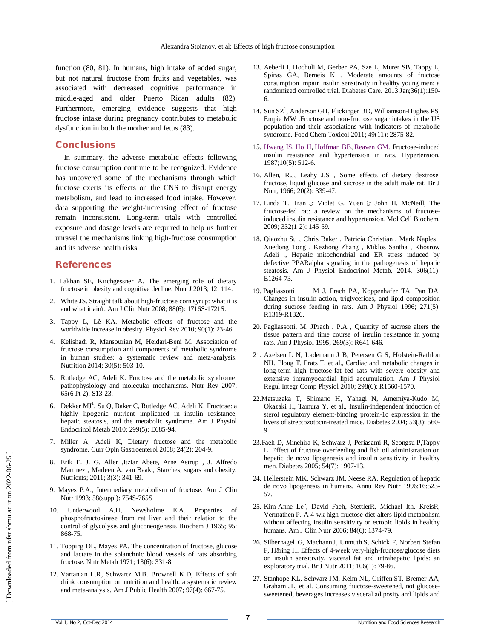function (80, 81). In humans, high intake of added sugar, but not natural fructose from fruits and vegetables, was associated with decreased cognitive performance in middle-aged and older Puerto Rican adults (82). Furthermore, emerging evidence suggests that high fructose intake during pregnancy contributes to metabolic dysfunction in both the mother and fetus (83).

#### **Conclusions**

In summary, the adverse metabolic effects following fructose consumption continue to be recognized. Evidence has uncovered some of the mechanisms through which fructose exerts its effects on the CNS to disrupt energy metabolism, and lead to increased food intake. However, data supporting the weight-increasing effect of fructose remain inconsistent. Long-term trials with controlled exposure and dosage levels are required to help us further unravel the mechanisms linking high-fructose consumption and its adverse health risks.

#### **References**

- 1. Lakhan SE, Kirchgessner A. The emerging role of dietary fructose in obesity and cognitive decline. Nutr J 2013; 12: 114.
- 2. White JS. Straight talk about high-fructose corn syrup: what it is and what it ain't. Am J Clin Nutr 2008; 88(6): 1716S-1721S.
- 3. Tappy L, Lê KA. Metabolic effects of fructose and the worldwide increase in obesity. Physiol Rev 2010; 90(1): 23-46.
- 4. Kelishadi R, Mansourian M, Heidari-Beni M. Association of fructose consumption and components of metabolic syndrome in human studies: a systematic review and meta-analysis. Nutrition 2014; 30(5): 503-10.
- 5. Rutledge AC, Adeli K. Fructose and the metabolic syndrome: pathophysiology and molecular mechanisms. Nutr Rev 2007; 65(6 Pt 2): S13-23.
- 6. Dekker MJ<sup>1</sup>, Su Q, Baker C, Rutledge AC, Adeli K. Fructose: a highly lipogenic nutrient implicated in insulin resistance, hepatic steatosis, and the metabolic syndrome. Am J Physiol Endocrinol Metab 2010; 299(5): E685-94.
- 7. Miller A, Adeli K, Dietary fructose and the metabolic syndrome. Curr Opin Gastroenterol 2008; 24(2): 204-9.
- 8. Erik E. J. G. Aller ,Itziar Abete, Arne Astrup , J. Alfredo Martinez , Marleen A. van Baak., Starches, sugars and obesity. Nutrients; 2011; 3(3): 341-69.
- 9. Mayes P.A., Intermediary metabolism of fructose. Am J Clin Nutr 1993; 58(suppl): 754S-765S
- Underwood A.H, Newsholme E.A. Properties of phosphofructokinase from rat liver and their relation to the control of glycolysis and gluconeogenesis Biochem J 1965; 95: 868-75.
- 11. Topping DL, Mayes PA. The concentration of fructose, glucose and lactate in the splanchnic blood vessels of rats absorbing fructose. Nutr Metab 1971; 13(6): 331-8.
- 12. Vartanian L.R, Schwartz M.B. Brownell K.D, Effects of soft drink consumption on nutrition and health: a systematic review and meta-analysis. Am J Public Health 2007; 97(4): 667-75.
- 13. Aeberli I, Hochuli M, Gerber PA, Sze L, Murer SB, Tappy L, Spinas GA, Berneis K . Moderate amounts of fructose consumption impair insulin sensitivity in healthy young men: a randomized controlled trial. Diabetes Care. 2013 Jan;36(1):150- 6.
- 14. Sun SZ<sup>1</sup>, Anderson GH, Flickinger BD, Williamson-Hughes PS, Empie MW .Fructose and non-fructose sugar intakes in the US population and their associations with indicators of metabolic syndrome. Food Chem Toxicol 2011; 49(11): 2875-82.
- 15. Hwang IS, Ho H, Hoffman BB, Reaven GM. Fructose-induced insulin resistance and hypertension in rats. Hypertension, 1987;10(5): 512-6.
- 16. Allen, R.J, Leahy J.S , Some effects of dietary dextrose, fructose, liquid glucose and sucrose in the adult male rat. Br J Nutr, 1966; 20(2): 339-47.
- 17. Linda T. Tran ئ Violet G. Yuen ئ John H. McNeill, The fructose-fed rat: a review on the mechanisms of fructoseinduced insulin resistance and hypertension. Mol Cell Biochem, 2009; 332(1-2): 145-59.
- 18. Qiaozhu Su , Chris Baker , Patricia Christian , Mark Naples , Xuedong Tong , Kezhong Zhang , Miklos Santha , Khosrow Adeli ., Hepatic mitochondrial and ER stress induced by defective PPARalpha signaling in the pathogenesis of hepatic steatosis. Am J Physiol Endocrinol Metab, 2014. 306(11): E1264-73.
- 19. Pagliassotti M J, Prach PA, Koppenhafer TA, Pan DA. Changes in insulin action, triglycerides, and lipid composition during sucrose feeding in rats. Am J Physiol 1996; 271(5): R1319-R1326.
- 20. Pagliassotti, M. JPrach . P.A , Quantity of sucrose alters the tissue pattern and time course of insulin resistance in young rats. Am J Physiol 1995; 269(3): R641-646.
- 21. Axelsen L N, Lademann J B, Petersen G S, Holstein-Rathlou NH, Ploug T, Prats T, et al., Cardiac and metabolic changes in long-term high fructose-fat fed rats with severe obesity and extensive intramyocardial lipid accumulation. Am J Physiol Regul Integr Comp Physiol 2010; 298(6): R1560-1570.
- 22.Matsuzaka T, Shimano H, Yahagi N, Amemiya-Kudo M, Okazaki H, Tamura Y, et al., Insulin-independent induction of sterol regulatory element-binding protein-1c expression in the livers of streptozotocin-treated mice. Diabetes 2004; 53(3): 560- 9.
- 23.Faeh D, Minehira K, Schwarz J, Periasami R, Seongsu P,Tappy L. Effect of fructose overfeeding and fish oil administration on hepatic de novo lipogenesis and insulin sensitivity in healthy men. Diabetes 2005; 54(7): 1907-13.
- 24. Hellerstein MK, Schwarz JM, Neese RA. Regulation of hepatic de novo lipogenesis in humans. Annu Rev Nutr 1996;16:523- 57.
- 25. Kim-Anne Leˆ, David Faeh, StettlerR, Michael Ith, KreisR, Vermathen P. A 4-wk high-fructose diet alters lipid metabolism without affecting insulin sensitivity or ectopic lipids in healthy humans. Am J Clin Nutr 2006; 84(6): 1374-79.
- 26. Silbernagel G, Machann J, Unmuth S, Schick F, Norbert Stefan F, Häring H. Effects of 4-week very-high-fructose/glucose diets on insulin sensitivity, visceral fat and intrahepatic lipids: an exploratory trial. Br J Nutr 2011; 106(1): 79-86.
- 27. Stanhope KL, Schwarz JM, Keim NL, Griffen ST, Bremer AA, Graham JL, et al. Consuming fructose-sweetened, not glucosesweetened, beverages increases visceral adiposity and lipids and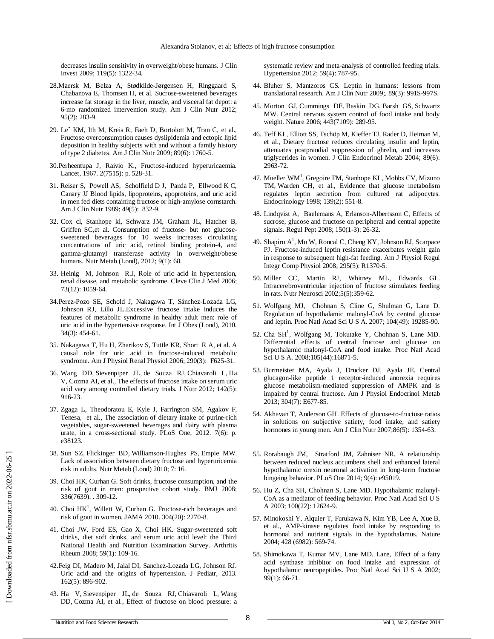decreases insulin sensitivity in overweight/obese humans. J Clin Invest 2009; 119(5): 1322-34.

- 28.Maersk M, Belza A, Stødkilde-Jørgensen H, Ringgaard S, Chabanova E, Thomsen H, et al. Sucrose-sweetened beverages increase fat storage in the liver, muscle, and visceral fat depot: a 6-mo randomized intervention study. Am J Clin Nutr 2012; 95(2): 283-9.
- 29. Leˆ KM, Ith M, Kreis R, Faeh D, Bortolott M, Tran C, et al., Fructose overconsumption causes dyslipidemia and ectopic lipid deposition in healthy subjects with and without a family history of type 2 diabetes. Am J Clin Nutr 2009; 89(6): 1760-5.
- 30.Perheentupa J, Raivio K., Fructose-induced hyperuricaemia. Lancet, 1967. 2(7515): p. 528-31.
- 31. Reiser S, Powell AS, Scholfield D J, Panda P, Ellwood K C, Canary JJ Blood lipids, lipoproteins, apoproteins, and uric acid in men fed diets containing fructose or high-amylose cornstarch. Am J Clin Nutr 1989; 49(5): 832-9.
- 32. Cox cl, Stanhope kl, Schwarz JM, Graham JL, Hatcher B, Griffen SC,et al. Consumption of fructose- but not glucosesweetened beverages for 10 weeks increases circulating concentrations of uric acid, retinol binding protein-4, and gamma-glutamyl transferase activity in overweight/obese humans. Nutr Metab (Lond), 2012; 9(1): 68.
- 33. Heinig M, Johnson R.J, Role of uric acid in hypertension, renal disease, and metabolic syndrome. Cleve Clin J Med 2006; 73(12): 1059-64.
- 34.Perez-Pozo SE, Schold J, Nakagawa T, Sánchez-Lozada LG, Johnson RJ, Lillo JL.Excessive fructose intake induces the features of metabolic syndrome in healthy adult men: role of uric acid in the hypertensive response. Int J Obes (Lond), 2010. 34(3): 454-61.
- 35. Nakagawa T, Hu H, Zharikov S, Tuttle KR, Short R A, et al. A causal role for uric acid in fructose-induced metabolic syndrome. Am J Physiol Renal Physiol 2006; 290(3): F625-31.
- 36. Wang DD, Sievenpiper JL, de Souza RJ, Chiavaroli L, Ha V, Cozma AI, et al., The effects of fructose intake on serum uric acid vary among controlled dietary trials. J Nutr 2012; 142(5): 916-23.
- 37. Zgaga L, Theodoratou E, Kyle J, Farrington SM, Agakov F, Tenesa, et al., The association of dietary intake of purine-rich vegetables, sugar-sweetened beverages and dairy with plasma urate, in a cross-sectional study. PLoS One, 2012. 7(6): p. e38123.
- 38. Sun SZ, Flickinger BD, Williamson-Hughes PS, Empie MW. Lack of association between dietary fructose and hyperuricemia risk in adults. Nutr Metab (Lond) 2010; 7: 16.
- 39. Choi HK, Curhan G. Soft drinks, fructose consumption, and the risk of gout in men: prospective cohort study. BMJ 2008; 336(7639): . 309-12.
- 40. Choi  $HK<sup>1</sup>$ , Willett W, Curhan G. Fructose-rich beverages and risk of gout in women. JAMA 2010. 304(20): 2270-8.
- 41. Choi JW, Ford ES, Gao X, Choi HK. Sugar-sweetened soft drinks, diet soft drinks, and serum uric acid level: the Third National Health and Nutrition Examination Survey. Arthritis Rheum 2008; 59(1): 109-16.
- 42.Feig DI, Madero M, Jalal DI, Sanchez-Lozada LG, Johnson RJ. Uric acid and the origins of hypertension. J Pediatr, 2013. 162(5): 896-902.
- 43. Ha V, Sievenpiper JL, de Souza RJ, Chiavaroli L, Wang DD, Cozma AI, et al., Effect of fructose on blood pressure: a

systematic review and meta-analysis of controlled feeding trials. Hypertension 2012; 59(4): 787-95.

- 44. Bluher S, Mantzoros CS. Leptin in humans: lessons from translational research. Am J Clin Nutr 2009;. 89(3): 991S-997S.
- 45. Morton GJ, Cummings DE, Baskin DG, Barsh GS, Schwartz MW. Central nervous system control of food intake and body weight. Nature 2006; 443(7109): 289-95.
- 46. Teff KL, Elliott SS, Tschöp M, Kieffer TJ, Rader D, Heiman M, et al., Dietary fructose reduces circulating insulin and leptin, attenuates postprandial suppression of ghrelin, and increases triglycerides in women. J Clin Endocrinol Metab 2004; 89(6): 2963-72.
- 47. Mueller WM<sup>1</sup>, Gregoire FM, Stanhope KL, Mobbs CV, Mizuno TM, Warden CH, et al., Evidence that glucose metabolism regulates leptin secretion from cultured rat adipocytes. Endocrinology 1998; 139(2): 551-8.
- 48. Lindqvist A, Baelemans A, Erlanson-Albertsson C, Effects of sucrose, glucose and fructose on peripheral and central appetite signals. Regul Pept 2008; 150(1-3): 26-32.
- 49. Shapiro A<sup>1</sup>, Mu W, Roncal C, Cheng KY, Johnson RJ, Scarpace PJ. Fructose-induced leptin resistance exacerbates weight gain in response to subsequent high-fat feeding. Am J Physiol Regul Integr Comp Physiol 2008; 295(5): R1370-5.
- 50. Miller CC, Martin RJ, Whitney ML, Edwards GL. Intracerebroventricular injection of fructose stimulates feeding in rats. Nutr Neurosci 2002;5(5):359-62.
- 51. Wolfgang MJ, Chohnan S, Cline G, Shulman G, Lane D. Regulation of hypothalamic malonyl-CoA by central glucose and leptin. Proc Natl Acad Sci U S A. 2007; 104(49): 19285-90.
- 52. Cha SH<sup>1</sup>, Wolfgang M, Tokutake Y, Chohnan S, Lane MD. Differential effects of central fructose and glucose on hypothalamic malonyl-CoA and food intake. Proc Natl Acad Sci U S A. 2008;105(44):16871-5.
- 53. Burmeister MA, Ayala J, Drucker DJ, Ayala JE. Central glucagon-like peptide 1 receptor-induced anorexia requires glucose metabolism-mediated suppression of AMPK and is impaired by central fructose. Am J Physiol Endocrinol Metab 2013; 304(7): E677-85.
- 54. Akhavan T, Anderson GH. Effects of glucose-to-fructose ratios in solutions on subjective satiety, food intake, and satiety hormones in young men. Am J Clin Nutr 2007;86(5): 1354-63.
- 55. Rorabaugh JM, Stratford JM, Zahniser NR. A relationship between reduced nucleus accumbens shell and enhanced lateral hypothalamic orexin neuronal activation in long-term fructose bingeing behavior. PLoS One 2014; 9(4): e95019.
- 56. Hu Z, Cha SH, Chohnan S, Lane MD. Hypothalamic malonyl-CoA as a mediator of feeding behavior. Proc Natl Acad Sci U S A 2003; 100(22): 12624-9.
- 57. Minokoshi Y, Alquier T, Furukawa N, Kim YB, Lee A, Xue B, et al., AMP-kinase regulates food intake by responding to hormonal and nutrient signals in the hypothalamus. Nature 2004; 428 (6982): 569-74.
- 58. Shimokawa T, Kumar MV, Lane MD. Lane, Effect of a fatty acid synthase inhibitor on food intake and expression of hypothalamic neuropeptides. Proc Natl Acad Sci U S A 2002; 99(1): 66-71.